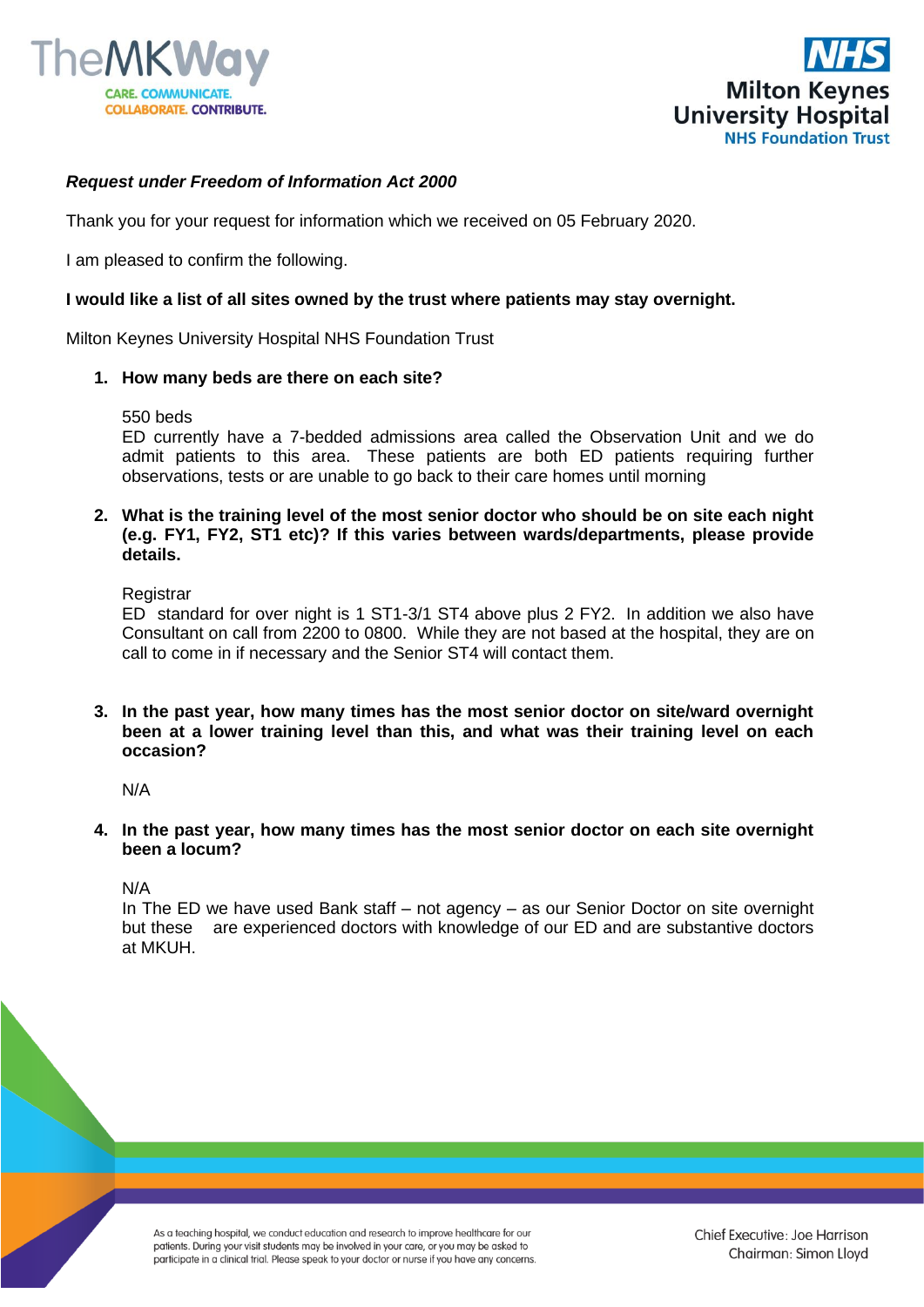



## *Request under Freedom of Information Act 2000*

Thank you for your request for information which we received on 05 February 2020.

I am pleased to confirm the following.

## **I would like a list of all sites owned by the trust where patients may stay overnight.**

Milton Keynes University Hospital NHS Foundation Trust

## **1. How many beds are there on each site?**

550 beds

ED currently have a 7-bedded admissions area called the Observation Unit and we do admit patients to this area. These patients are both ED patients requiring further observations, tests or are unable to go back to their care homes until morning

**2. What is the training level of the most senior doctor who should be on site each night (e.g. FY1, FY2, ST1 etc)? If this varies between wards/departments, please provide details.**

**Registrar** 

ED standard for over night is 1 ST1-3/1 ST4 above plus 2 FY2. In addition we also have Consultant on call from 2200 to 0800. While they are not based at the hospital, they are on call to come in if necessary and the Senior ST4 will contact them.

**3. In the past year, how many times has the most senior doctor on site/ward overnight been at a lower training level than this, and what was their training level on each occasion?**

N/A

**4. In the past year, how many times has the most senior doctor on each site overnight been a locum?** 

N/A

In The ED we have used Bank staff – not agency – as our Senior Doctor on site overnight but these are experienced doctors with knowledge of our ED and are substantive doctors at MKUH.

As a teaching hospital, we conduct education and research to improve healthcare for our patients. During your visit students may be involved in your care, or you may be asked to participate in a clinical trial. Please speak to your doctor or nurse if you have any concerns.